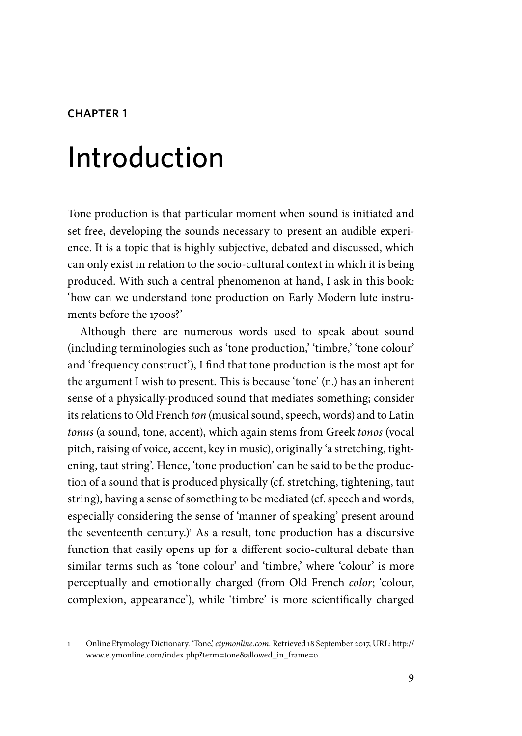#### CHAPTFR<sub>1</sub>

# Introduction

Tone production is that particular moment when sound is initiated and set free, developing the sounds necessary to present an audible experience. It is a topic that is highly subjective, debated and discussed, which can only exist in relation to the socio-cultural context in which it is being produced. With such a central phenomenon at hand, I ask in this book: 'how can we understand tone production on Early Modern lute instruments before the 1700s?'

Although there are numerous words used to speak about sound (including terminologies such as 'tone production,' 'timbre,' 'tone colour' and 'frequency construct'), I find that tone production is the most apt for the argument I wish to present. This is because 'tone' (n.) has an inherent sense of a physically-produced sound that mediates something; consider its relations to Old French *ton* (musical sound, speech, words) and to Latin *tonus* (a sound, tone, accent), which again stems from Greek *tonos* (vocal pitch, raising of voice, accent, key in music), originally 'a stretching, tightening, taut string'. Hence, 'tone production' can be said to be the production of a sound that is produced physically (cf. stretching, tightening, taut string), having a sense of something to be mediated (cf. speech and words, especially considering the sense of 'manner of speaking' present around the seventeenth century.)<sup>1</sup> As a result, tone production has a discursive function that easily opens up for a different socio-cultural debate than similar terms such as 'tone colour' and 'timbre,' where 'colour' is more perceptually and emotionally charged (from Old French *color*; 'colour, complexion, appearance'), while 'timbre' is more scientifically charged

<sup>1</sup> Online Etymology Dictionary. 'Tone,' *etymonline.com*. Retrieved 18 September 2017, URL: http:// www.etymonline.com/index.php?term=tone&allowed\_in\_frame=0.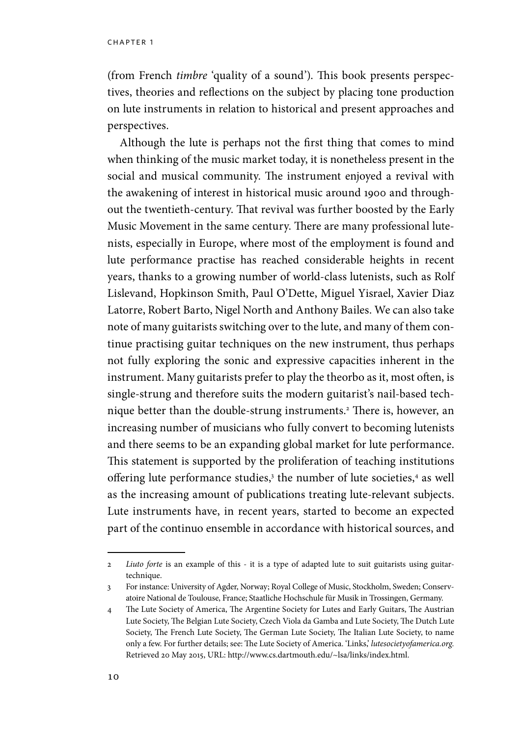chapter 1

(from French *timbre* 'quality of a sound'). This book presents perspectives, theories and reflections on the subject by placing tone production on lute instruments in relation to historical and present approaches and perspectives.

Although the lute is perhaps not the first thing that comes to mind when thinking of the music market today, it is nonetheless present in the social and musical community. The instrument enjoyed a revival with the awakening of interest in historical music around 1900 and throughout the twentieth-century. That revival was further boosted by the Early Music Movement in the same century. There are many professional lutenists, especially in Europe, where most of the employment is found and lute performance practise has reached considerable heights in recent years, thanks to a growing number of world-class lutenists, such as Rolf Lislevand, Hopkinson Smith, Paul O'Dette, Miguel Yisrael, Xavier Diaz Latorre, Robert Barto, Nigel North and Anthony Bailes. We can also take note of many guitarists switching over to the lute, and many of them continue practising guitar techniques on the new instrument, thus perhaps not fully exploring the sonic and expressive capacities inherent in the instrument. Many guitarists prefer to play the theorbo as it, most often, is single-strung and therefore suits the modern guitarist's nail-based technique better than the double-strung instruments.<sup>2</sup> There is, however, an increasing number of musicians who fully convert to becoming lutenists and there seems to be an expanding global market for lute performance. This statement is supported by the proliferation of teaching institutions offering lute performance studies,<sup>3</sup> the number of lute societies,<sup>4</sup> as well as the increasing amount of publications treating lute-relevant subjects. Lute instruments have, in recent years, started to become an expected part of the continuo ensemble in accordance with historical sources, and

<sup>2</sup> *Liuto forte* is an example of this - it is a type of adapted lute to suit guitarists using guitartechnique.

<sup>3</sup> For instance: University of Agder, Norway; Royal College of Music, Stockholm, Sweden; Conservatoire National de Toulouse, France; Staatliche Hochschule für Musik in Trossingen, Germany.

<sup>4</sup> The Lute Society of America, The Argentine Society for Lutes and Early Guitars, The Austrian Lute Society, The Belgian Lute Society, Czech Viola da Gamba and Lute Society, The Dutch Lute Society, The French Lute Society, The German Lute Society, The Italian Lute Society, to name only a few. For further details; see: The Lute Society of America. 'Links,' *lutesocietyofamerica.org.* Retrieved 20 May 2015, URL: http://www.cs.dartmouth.edu/~lsa/links/index.html.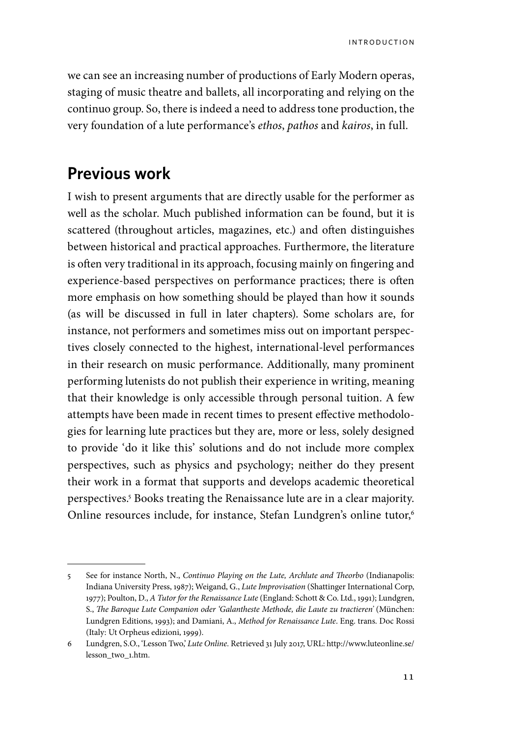we can see an increasing number of productions of Early Modern operas, staging of music theatre and ballets, all incorporating and relying on the continuo group. So, there is indeed a need to address tone production, the very foundation of a lute performance's *ethos*, *pathos* and *kairos*, in full.

## **Previous work**

I wish to present arguments that are directly usable for the performer as well as the scholar. Much published information can be found, but it is scattered (throughout articles, magazines, etc.) and often distinguishes between historical and practical approaches. Furthermore, the literature is often very traditional in its approach, focusing mainly on fingering and experience-based perspectives on performance practices; there is often more emphasis on how something should be played than how it sounds (as will be discussed in full in later chapters). Some scholars are, for instance, not performers and sometimes miss out on important perspectives closely connected to the highest, international-level performances in their research on music performance. Additionally, many prominent performing lutenists do not publish their experience in writing, meaning that their knowledge is only accessible through personal tuition. A few attempts have been made in recent times to present effective methodologies for learning lute practices but they are, more or less, solely designed to provide 'do it like this' solutions and do not include more complex perspectives, such as physics and psychology; neither do they present their work in a format that supports and develops academic theoretical perspectives.5 Books treating the Renaissance lute are in a clear majority. Online resources include, for instance, Stefan Lundgren's online tutor,<sup>6</sup>

<sup>5</sup> See for instance North, N., *Continuo Playing on the Lute, Archlute and Theorbo* (Indianapolis: Indiana University Press, 1987); Weigand, G., *Lute Improvisation* (Shattinger International Corp, 1977); Poulton, D., *A Tutor for the Renaissance Lute* (England: Schott & Co. Ltd., 1991); Lundgren, S., *The Baroque Lute Companion oder 'Galantheste Methode, die Laute zu tractieren'* (München: Lundgren Editions, 1993); and Damiani, A., *Method for Renaissance Lute*. Eng. trans. Doc Rossi (Italy: Ut Orpheus edizioni, 1999).

<sup>6</sup> Lundgren, S.O., 'Lesson Two,' *Lute Online.* Retrieved 31 July 2017, URL: http://www.luteonline.se/ lesson\_two\_1.htm.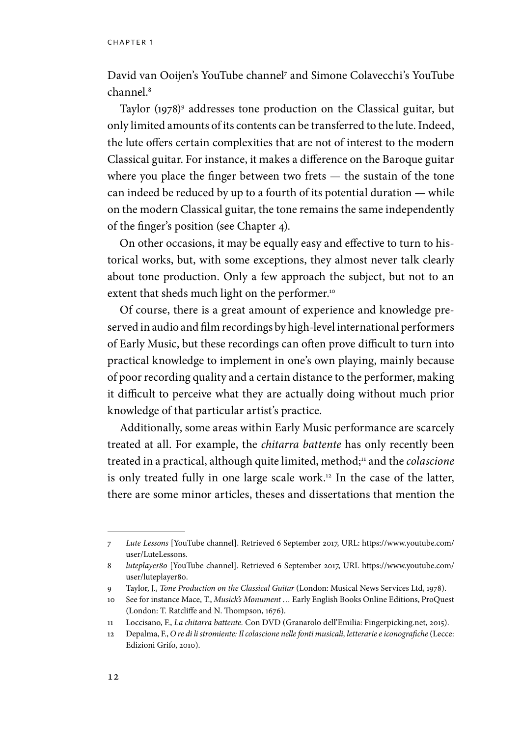David van Ooijen's YouTube channel7 and Simone Colavecchi's YouTube channel.8

Taylor (1978)9 addresses tone production on the Classical guitar, but only limited amounts of its contents can be transferred to the lute. Indeed, the lute offers certain complexities that are not of interest to the modern Classical guitar. For instance, it makes a difference on the Baroque guitar where you place the finger between two frets — the sustain of the tone can indeed be reduced by up to a fourth of its potential duration — while on the modern Classical guitar, the tone remains the same independently of the finger's position (see Chapter 4).

On other occasions, it may be equally easy and effective to turn to historical works, but, with some exceptions, they almost never talk clearly about tone production. Only a few approach the subject, but not to an extent that sheds much light on the performer.<sup>10</sup>

Of course, there is a great amount of experience and knowledge preserved in audio and film recordings by high-level international performers of Early Music, but these recordings can often prove difficult to turn into practical knowledge to implement in one's own playing, mainly because of poor recording quality and a certain distance to the performer, making it difficult to perceive what they are actually doing without much prior knowledge of that particular artist's practice.

Additionally, some areas within Early Music performance are scarcely treated at all. For example, the *chitarra battente* has only recently been treated in a practical, although quite limited, method;11 and the *colascione* is only treated fully in one large scale work.<sup>12</sup> In the case of the latter, there are some minor articles, theses and dissertations that mention the

<sup>7</sup> *Lute Lessons* [YouTube channel]. Retrieved 6 September 2017, URL: https://www.youtube.com/ user/LuteLessons.

<sup>8</sup> *luteplayer80* [YouTube channel]. Retrieved 6 September 2017, URL https://www.youtube.com/ user/luteplayer80.

<sup>9</sup> Taylor, J., *Tone Production on the Classical Guitar* (London: Musical News Services Ltd, 1978).

<sup>10</sup> See for instance Mace, T., *Musick's Monument …* Early English Books Online Editions, ProQuest (London: T. Ratcliffe and N. Thompson, 1676).

<sup>11</sup> Loccisano, F., *La chitarra battente.* Con DVD (Granarolo dell'Emilia: Fingerpicking.net, 2015).

<sup>12</sup> Depalma, F., *O re di li stromiente: Il colascione nelle fonti musicali, letterarie e iconografiche* (Lecce: Edizioni Grifo, 2010).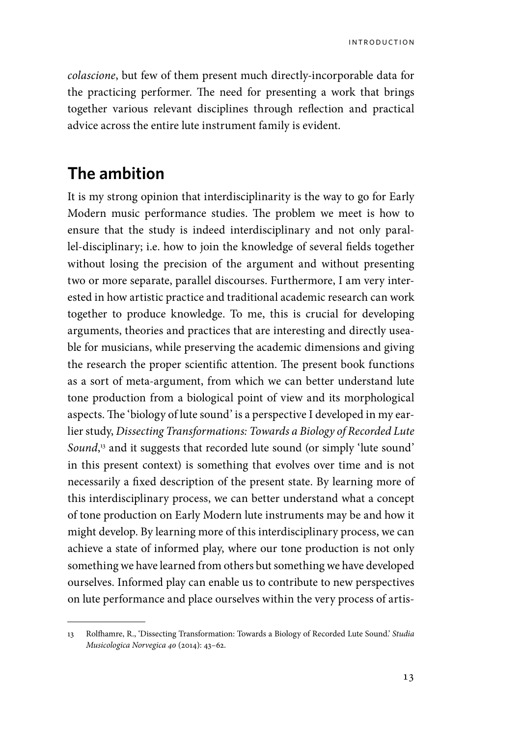*colascione*, but few of them present much directly-incorporable data for the practicing performer. The need for presenting a work that brings together various relevant disciplines through reflection and practical advice across the entire lute instrument family is evident.

# **The ambition**

It is my strong opinion that interdisciplinarity is the way to go for Early Modern music performance studies. The problem we meet is how to ensure that the study is indeed interdisciplinary and not only parallel-disciplinary; i.e. how to join the knowledge of several fields together without losing the precision of the argument and without presenting two or more separate, parallel discourses. Furthermore, I am very interested in how artistic practice and traditional academic research can work together to produce knowledge. To me, this is crucial for developing arguments, theories and practices that are interesting and directly useable for musicians, while preserving the academic dimensions and giving the research the proper scientific attention. The present book functions as a sort of meta-argument, from which we can better understand lute tone production from a biological point of view and its morphological aspects. The 'biology of lute sound' is a perspective I developed in my earlier study, *Dissecting Transformations: Towards a Biology of Recorded Lute Sound*, 13 and it suggests that recorded lute sound (or simply 'lute sound' in this present context) is something that evolves over time and is not necessarily a fixed description of the present state. By learning more of this interdisciplinary process, we can better understand what a concept of tone production on Early Modern lute instruments may be and how it might develop. By learning more of this interdisciplinary process, we can achieve a state of informed play, where our tone production is not only something we have learned from others but something we have developed ourselves. Informed play can enable us to contribute to new perspectives on lute performance and place ourselves within the very process of artis-

<sup>13</sup> Rolfhamre, R., 'Dissecting Transformation: Towards a Biology of Recorded Lute Sound.' *Studia Musicologica Norvegica 40* (2014): 43–62.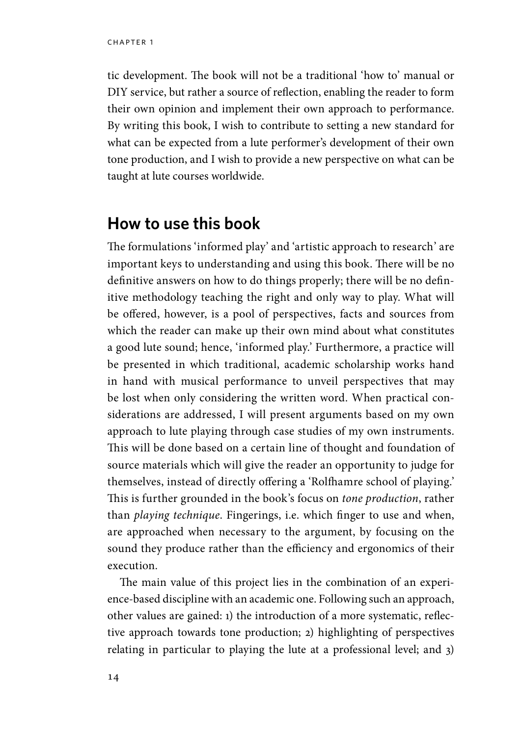tic development. The book will not be a traditional 'how to' manual or DIY service, but rather a source of reflection, enabling the reader to form their own opinion and implement their own approach to performance. By writing this book, I wish to contribute to setting a new standard for what can be expected from a lute performer's development of their own tone production, and I wish to provide a new perspective on what can be taught at lute courses worldwide.

### **How to use this book**

The formulations 'informed play' and 'artistic approach to research' are important keys to understanding and using this book. There will be no definitive answers on how to do things properly; there will be no definitive methodology teaching the right and only way to play. What will be offered, however, is a pool of perspectives, facts and sources from which the reader can make up their own mind about what constitutes a good lute sound; hence, 'informed play.' Furthermore, a practice will be presented in which traditional, academic scholarship works hand in hand with musical performance to unveil perspectives that may be lost when only considering the written word. When practical considerations are addressed, I will present arguments based on my own approach to lute playing through case studies of my own instruments. This will be done based on a certain line of thought and foundation of source materials which will give the reader an opportunity to judge for themselves, instead of directly offering a 'Rolfhamre school of playing.' This is further grounded in the book's focus on *tone production*, rather than *playing technique*. Fingerings, i.e. which finger to use and when, are approached when necessary to the argument, by focusing on the sound they produce rather than the efficiency and ergonomics of their execution.

The main value of this project lies in the combination of an experience-based discipline with an academic one. Following such an approach, other values are gained: 1) the introduction of a more systematic, reflective approach towards tone production; 2) highlighting of perspectives relating in particular to playing the lute at a professional level; and 3)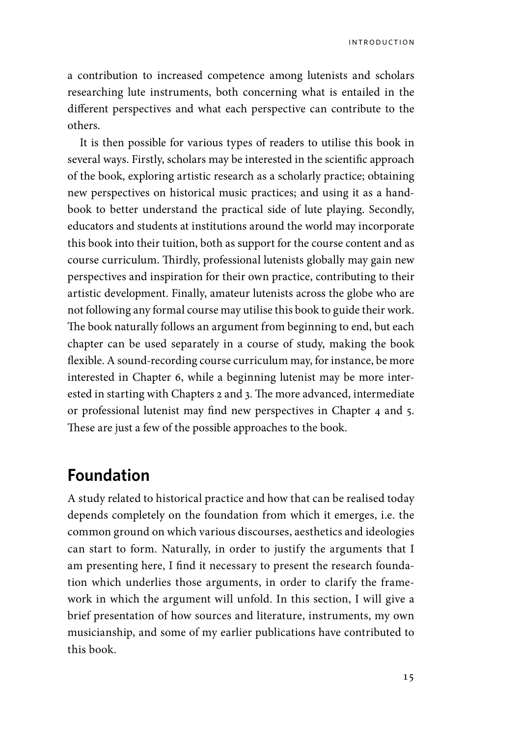introduction

a contribution to increased competence among lutenists and scholars researching lute instruments, both concerning what is entailed in the different perspectives and what each perspective can contribute to the others.

It is then possible for various types of readers to utilise this book in several ways. Firstly, scholars may be interested in the scientific approach of the book, exploring artistic research as a scholarly practice; obtaining new perspectives on historical music practices; and using it as a handbook to better understand the practical side of lute playing. Secondly, educators and students at institutions around the world may incorporate this book into their tuition, both as support for the course content and as course curriculum. Thirdly, professional lutenists globally may gain new perspectives and inspiration for their own practice, contributing to their artistic development. Finally, amateur lutenists across the globe who are not following any formal course may utilise this book to guide their work. The book naturally follows an argument from beginning to end, but each chapter can be used separately in a course of study, making the book flexible. A sound-recording course curriculum may, for instance, be more interested in Chapter 6, while a beginning lutenist may be more interested in starting with Chapters 2 and 3. The more advanced, intermediate or professional lutenist may find new perspectives in Chapter 4 and 5. These are just a few of the possible approaches to the book.

# **Foundation**

A study related to historical practice and how that can be realised today depends completely on the foundation from which it emerges, i.e. the common ground on which various discourses, aesthetics and ideologies can start to form. Naturally, in order to justify the arguments that I am presenting here, I find it necessary to present the research foundation which underlies those arguments, in order to clarify the framework in which the argument will unfold. In this section, I will give a brief presentation of how sources and literature, instruments, my own musicianship, and some of my earlier publications have contributed to this book.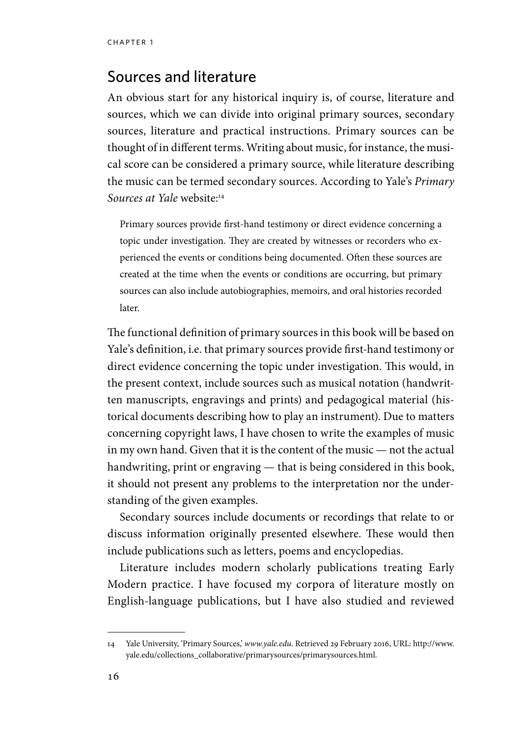### Sources and literature

An obvious start for any historical inquiry is, of course, literature and sources, which we can divide into original primary sources, secondary sources, literature and practical instructions. Primary sources can be thought of in different terms. Writing about music, for instance, the musical score can be considered a primary source, while literature describing the music can be termed secondary sources. According to Yale's *Primary Sources at Yale* website:14

Primary sources provide first-hand testimony or direct evidence concerning a topic under investigation. They are created by witnesses or recorders who experienced the events or conditions being documented. Often these sources are created at the time when the events or conditions are occurring, but primary sources can also include autobiographies, memoirs, and oral histories recorded later.

The functional definition of primary sources in this book will be based on Yale's definition, i.e. that primary sources provide first-hand testimony or direct evidence concerning the topic under investigation. This would, in the present context, include sources such as musical notation (handwritten manuscripts, engravings and prints) and pedagogical material (historical documents describing how to play an instrument). Due to matters concerning copyright laws, I have chosen to write the examples of music in my own hand. Given that it is the content of the music — not the actual handwriting, print or engraving — that is being considered in this book, it should not present any problems to the interpretation nor the understanding of the given examples.

Secondary sources include documents or recordings that relate to or discuss information originally presented elsewhere. These would then include publications such as letters, poems and encyclopedias.

Literature includes modern scholarly publications treating Early Modern practice. I have focused my corpora of literature mostly on English-language publications, but I have also studied and reviewed

<sup>14</sup> Yale University, 'Primary Sources,' *www.yale.edu*. Retrieved 29 February 2016, URL: http://www. yale.edu/collections\_collaborative/primarysources/primarysources.html.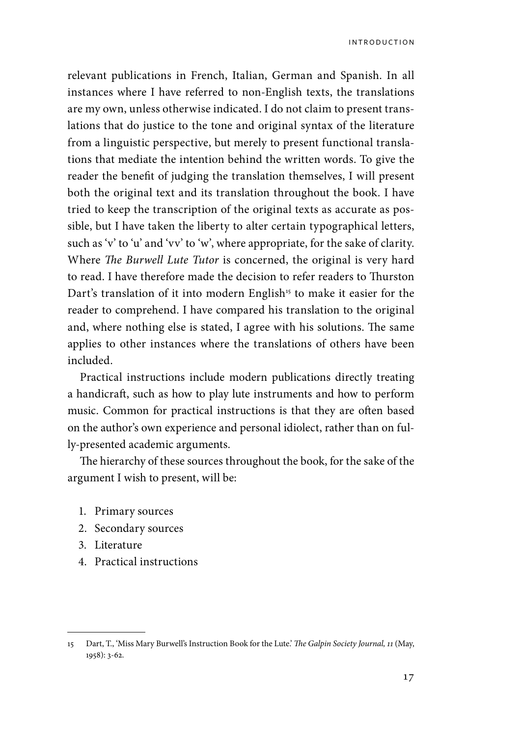relevant publications in French, Italian, German and Spanish. In all instances where I have referred to non-English texts, the translations are my own, unless otherwise indicated. I do not claim to present translations that do justice to the tone and original syntax of the literature from a linguistic perspective, but merely to present functional translations that mediate the intention behind the written words. To give the reader the benefit of judging the translation themselves, I will present both the original text and its translation throughout the book. I have tried to keep the transcription of the original texts as accurate as possible, but I have taken the liberty to alter certain typographical letters, such as 'v' to 'u' and 'vv' to 'w', where appropriate, for the sake of clarity. Where *The Burwell Lute Tutor* is concerned, the original is very hard to read. I have therefore made the decision to refer readers to Thurston Dart's translation of it into modern English<sup>15</sup> to make it easier for the reader to comprehend. I have compared his translation to the original and, where nothing else is stated, I agree with his solutions. The same applies to other instances where the translations of others have been included.

Practical instructions include modern publications directly treating a handicraft, such as how to play lute instruments and how to perform music. Common for practical instructions is that they are often based on the author's own experience and personal idiolect, rather than on fully-presented academic arguments.

The hierarchy of these sources throughout the book, for the sake of the argument I wish to present, will be:

- 1. Primary sources
- 2. Secondary sources
- 3. Literature
- 4. Practical instructions

<sup>15</sup> Dart, T., 'Miss Mary Burwell's Instruction Book for the Lute.' *The Galpin Society Journal, 11* (May, 1958): 3‐62.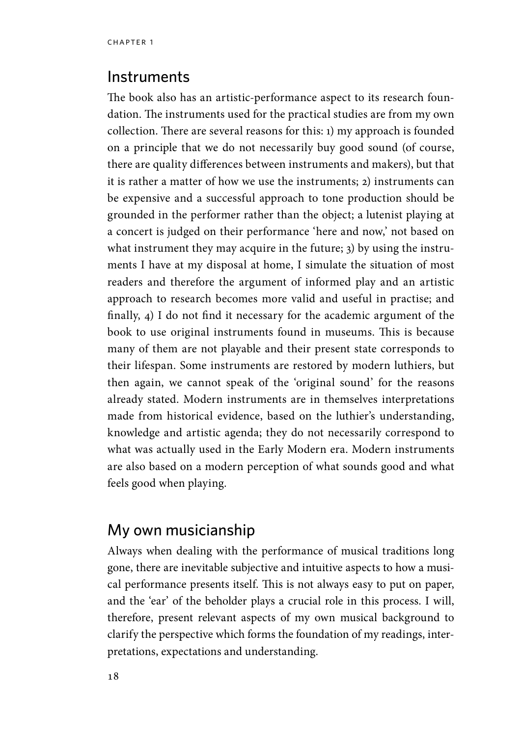#### **Instruments**

The book also has an artistic-performance aspect to its research foundation. The instruments used for the practical studies are from my own collection. There are several reasons for this: 1) my approach is founded on a principle that we do not necessarily buy good sound (of course, there are quality differences between instruments and makers), but that it is rather a matter of how we use the instruments; 2) instruments can be expensive and a successful approach to tone production should be grounded in the performer rather than the object; a lutenist playing at a concert is judged on their performance 'here and now,' not based on what instrument they may acquire in the future; 3) by using the instruments I have at my disposal at home, I simulate the situation of most readers and therefore the argument of informed play and an artistic approach to research becomes more valid and useful in practise; and finally, 4) I do not find it necessary for the academic argument of the book to use original instruments found in museums. This is because many of them are not playable and their present state corresponds to their lifespan. Some instruments are restored by modern luthiers, but then again, we cannot speak of the 'original sound' for the reasons already stated. Modern instruments are in themselves interpretations made from historical evidence, based on the luthier's understanding, knowledge and artistic agenda; they do not necessarily correspond to what was actually used in the Early Modern era. Modern instruments are also based on a modern perception of what sounds good and what feels good when playing.

#### My own musicianship

Always when dealing with the performance of musical traditions long gone, there are inevitable subjective and intuitive aspects to how a musical performance presents itself. This is not always easy to put on paper, and the 'ear' of the beholder plays a crucial role in this process. I will, therefore, present relevant aspects of my own musical background to clarify the perspective which forms the foundation of my readings, interpretations, expectations and understanding.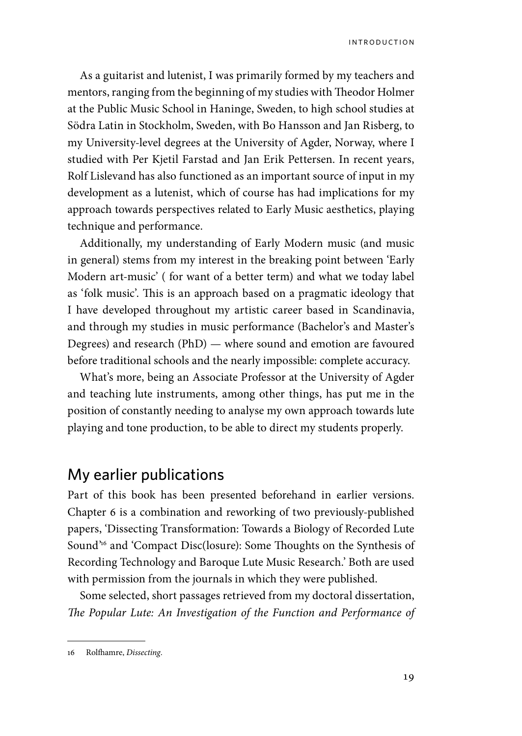As a guitarist and lutenist, I was primarily formed by my teachers and mentors, ranging from the beginning of my studies with Theodor Holmer at the Public Music School in Haninge, Sweden, to high school studies at Södra Latin in Stockholm, Sweden, with Bo Hansson and Jan Risberg, to my University-level degrees at the University of Agder, Norway, where I studied with Per Kjetil Farstad and Jan Erik Pettersen. In recent years, Rolf Lislevand has also functioned as an important source of input in my development as a lutenist, which of course has had implications for my approach towards perspectives related to Early Music aesthetics, playing technique and performance.

Additionally, my understanding of Early Modern music (and music in general) stems from my interest in the breaking point between 'Early Modern art-music' ( for want of a better term) and what we today label as 'folk music'. This is an approach based on a pragmatic ideology that I have developed throughout my artistic career based in Scandinavia, and through my studies in music performance (Bachelor's and Master's Degrees) and research (PhD) — where sound and emotion are favoured before traditional schools and the nearly impossible: complete accuracy.

What's more, being an Associate Professor at the University of Agder and teaching lute instruments, among other things, has put me in the position of constantly needing to analyse my own approach towards lute playing and tone production, to be able to direct my students properly.

#### My earlier publications

Part of this book has been presented beforehand in earlier versions. Chapter 6 is a combination and reworking of two previously-published papers, 'Dissecting Transformation: Towards a Biology of Recorded Lute Sound'16 and 'Compact Disc(losure): Some Thoughts on the Synthesis of Recording Technology and Baroque Lute Music Research.' Both are used with permission from the journals in which they were published.

Some selected, short passages retrieved from my doctoral dissertation, *The Popular Lute: An Investigation of the Function and Performance of* 

<sup>16</sup> Rolfhamre, *Dissecting*.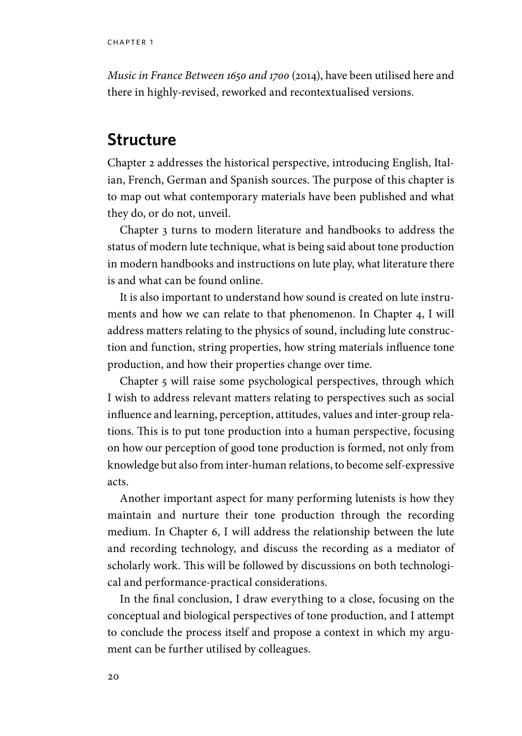*Music in France Between 1650 and 1700* (2014), have been utilised here and there in highly-revised, reworked and recontextualised versions.

### **Structure**

Chapter 2 addresses the historical perspective, introducing English, Italian, French, German and Spanish sources. The purpose of this chapter is to map out what contemporary materials have been published and what they do, or do not, unveil.

Chapter 3 turns to modern literature and handbooks to address the status of modern lute technique, what is being said about tone production in modern handbooks and instructions on lute play, what literature there is and what can be found online.

It is also important to understand how sound is created on lute instruments and how we can relate to that phenomenon. In Chapter 4, I will address matters relating to the physics of sound, including lute construction and function, string properties, how string materials influence tone production, and how their properties change over time.

Chapter 5 will raise some psychological perspectives, through which I wish to address relevant matters relating to perspectives such as social influence and learning, perception, attitudes, values and inter-group relations. This is to put tone production into a human perspective, focusing on how our perception of good tone production is formed, not only from knowledge but also from inter-human relations, to become self-expressive acts.

Another important aspect for many performing lutenists is how they maintain and nurture their tone production through the recording medium. In Chapter 6, I will address the relationship between the lute and recording technology, and discuss the recording as a mediator of scholarly work. This will be followed by discussions on both technological and performance-practical considerations.

In the final conclusion, I draw everything to a close, focusing on the conceptual and biological perspectives of tone production, and I attempt to conclude the process itself and propose a context in which my argument can be further utilised by colleagues.